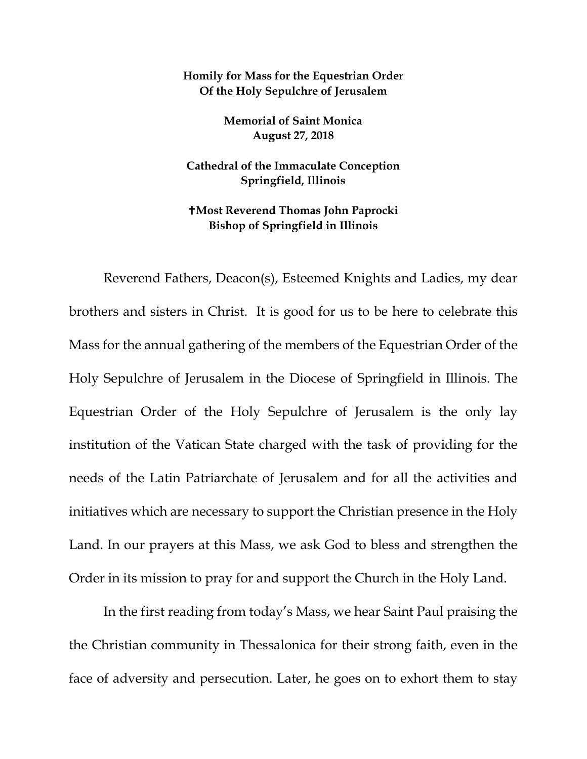## **Homily for Mass for the Equestrian Order Of the Holy Sepulchre of Jerusalem**

**Memorial of Saint Monica August 27, 2018**

**Cathedral of the Immaculate Conception Springfield, Illinois**

**Most Reverend Thomas John Paprocki Bishop of Springfield in Illinois**

Reverend Fathers, Deacon(s), Esteemed Knights and Ladies, my dear brothers and sisters in Christ. It is good for us to be here to celebrate this Mass for the annual gathering of the members of the Equestrian Order of the Holy Sepulchre of Jerusalem in the Diocese of Springfield in Illinois. The Equestrian Order of the Holy Sepulchre of Jerusalem is the only lay institution of the Vatican State charged with the task of providing for the needs of the Latin Patriarchate of Jerusalem and for all the activities and initiatives which are necessary to support the Christian presence in the Holy Land. In our prayers at this Mass, we ask God to bless and strengthen the Order in its mission to pray for and support the Church in the Holy Land.

In the first reading from today's Mass, we hear Saint Paul praising the the Christian community in Thessalonica for their strong faith, even in the face of adversity and persecution. Later, he goes on to exhort them to stay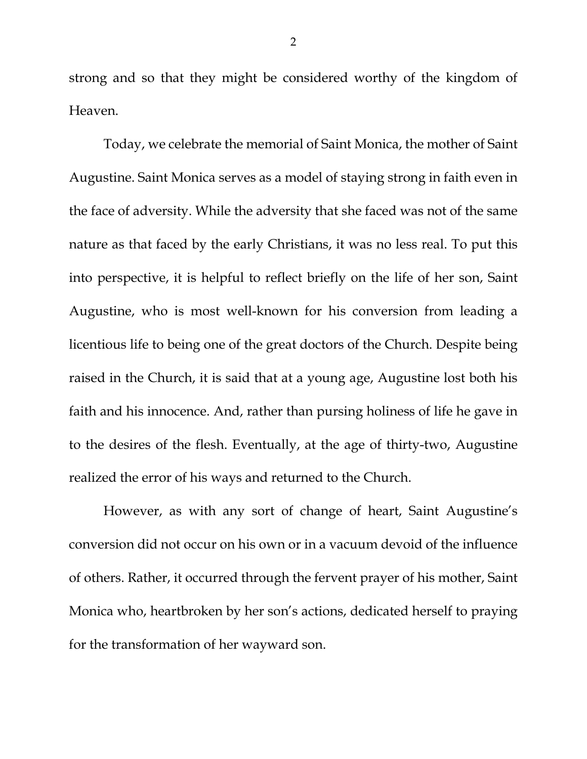strong and so that they might be considered worthy of the kingdom of Heaven.

Today, we celebrate the memorial of Saint Monica, the mother of Saint Augustine. Saint Monica serves as a model of staying strong in faith even in the face of adversity. While the adversity that she faced was not of the same nature as that faced by the early Christians, it was no less real. To put this into perspective, it is helpful to reflect briefly on the life of her son, Saint Augustine, who is most well-known for his conversion from leading a licentious life to being one of the great doctors of the Church. Despite being raised in the Church, it is said that at a young age, Augustine lost both his faith and his innocence. And, rather than pursing holiness of life he gave in to the desires of the flesh. Eventually, at the age of thirty-two, Augustine realized the error of his ways and returned to the Church.

However, as with any sort of change of heart, Saint Augustine's conversion did not occur on his own or in a vacuum devoid of the influence of others. Rather, it occurred through the fervent prayer of his mother, Saint Monica who, heartbroken by her son's actions, dedicated herself to praying for the transformation of her wayward son.